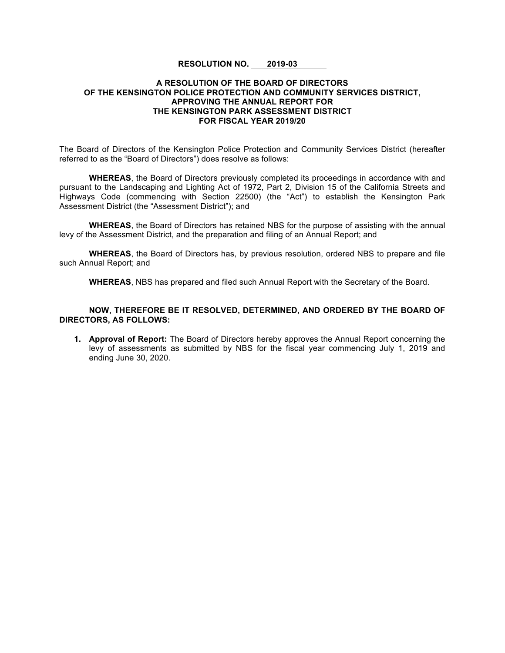## **RESOLUTION NO. 2019-03**

## **A RESOLUTION OF THE BOARD OF DIRECTORS OF THE KENSINGTON POLICE PROTECTION AND COMMUNITY SERVICES DISTRICT, APPROVING THE ANNUAL REPORT FOR THE KENSINGTON PARK ASSESSMENT DISTRICT FOR FISCAL YEAR 2019/20**

The Board of Directors of the Kensington Police Protection and Community Services District (hereafter referred to as the "Board of Directors") does resolve as follows:

**WHEREAS**, the Board of Directors previously completed its proceedings in accordance with and pursuant to the Landscaping and Lighting Act of 1972, Part 2, Division 15 of the California Streets and Highways Code (commencing with Section 22500) (the "Act") to establish the Kensington Park Assessment District (the "Assessment District"); and

**WHEREAS**, the Board of Directors has retained NBS for the purpose of assisting with the annual levy of the Assessment District, and the preparation and filing of an Annual Report; and

**WHEREAS**, the Board of Directors has, by previous resolution, ordered NBS to prepare and file such Annual Report; and

**WHEREAS**, NBS has prepared and filed such Annual Report with the Secretary of the Board.

**NOW, THEREFORE BE IT RESOLVED, DETERMINED, AND ORDERED BY THE BOARD OF DIRECTORS, AS FOLLOWS:**

**1. Approval of Report:** The Board of Directors hereby approves the Annual Report concerning the levy of assessments as submitted by NBS for the fiscal year commencing July 1, 2019 and ending June 30, 2020.